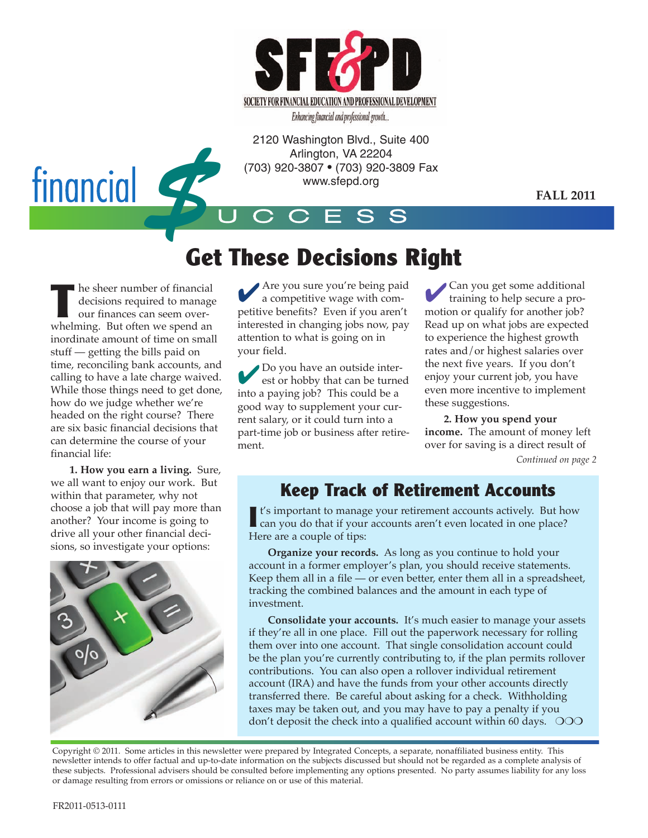

Enhancing financial and professional growth...

2120 Washington Blvd., Suite 400 Arlington, VA 22204 (703) 920-3807 • (703) 920-3809 Fax www.sfepd.org

**FALL 2011**



# **Get These Decisions Right**

**T** he sheer number of financial decisions required to manage our finances can seem overwhelming. But often we spend an inordinate amount of time on small stuff — getting the bills paid on time, reconciling bank accounts, and calling to have a late charge waived. While those things need to get done, how do we judge whether we're headed on the right course? There are six basic financial decisions that can determine the course of your financial life:

**1. How you earn a living.** Sure, we all want to enjoy our work. But within that parameter, why not choose a job that will pay more than another? Your income is going to drive all your other financial decisions, so investigate your options:



4Are you sure you're being paid a competitive wage with competitive benefits? Even if you aren't interested in changing jobs now, pay attention to what is going on in your field.

4Do you have an outside interest or hobby that can be turned into a paying job? This could be a good way to supplement your current salary, or it could turn into a part-time job or business after retirement.

4Can you get some additional training to help secure a promotion or qualify for another job? Read up on what jobs are expected to experience the highest growth rates and/or highest salaries over the next five years. If you don't enjoy your current job, you have even more incentive to implement these suggestions.

**2. How you spend your income.** The amount of money left over for saving is a direct result of *Continued on page 2*

### **Keep Track of Retirement Accounts**

**I** t's important to manage your retirement accounts actively. But how can you do that if your accounts aren't even located in one place? Here are a couple of tips:

**Organize your records.** As long as you continue to hold your account in a former employer's plan, you should receive statements. Keep them all in a file  $\sim$  or even better, enter them all in a spreadsheet, tracking the combined balances and the amount in each type of investment.

**Consolidate your accounts.** It's much easier to manage your assets if they're all in one place. Fill out the paperwork necessary for rolling them over into one account. That single consolidation account could be the plan you're currently contributing to, if the plan permits rollover contributions. You can also open a rollover individual retirement account (IRA) and have the funds from your other accounts directly transferred there. Be careful about asking for a check. Withholding taxes may be taken out, and you may have to pay a penalty if you don't deposit the check into a qualified account within 60 days.  $\circ$ OO

Copyright © 2011. Some articles in this newsletter were prepared by Integrated Concepts, a separate, nonaffiliated business entity. This newsletter intends to offer factual and up-to-date information on the subjects discussed but should not be regarded as a complete analysis of these subjects. Professional advisers should be consulted before implementing any options presented. No party assumes liability for any loss or damage resulting from errors or omissions or reliance on or use of this material.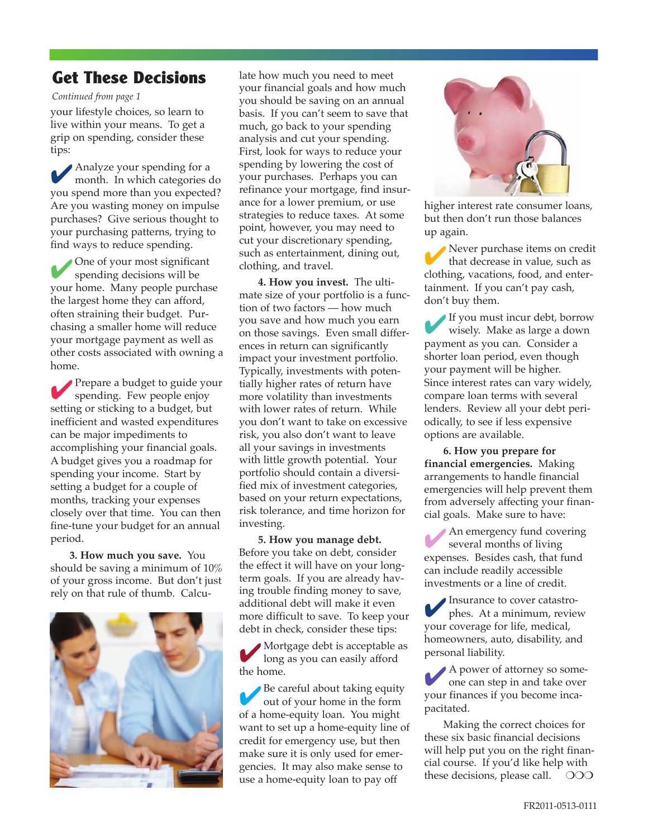### **Get These Decisions**

#### *Continued from page 1*

your lifestyle choices, so learn to live within your means. To get a grip on spending, consider these tips:

4Analyze your spending for <sup>a</sup> month. In which categories do you spend more than you expected? Are you wasting money on impulse purchases? Give serious thought to your purchasing patterns, trying to find ways to reduce spending.

4One of your most significant spending decisions will be your home. Many people purchase the largest home they can afford, often straining their budget. Purchasing a smaller home will reduce your mortgage payment as well as other costs associated with owning a home.

Prepare a budget to guide your spending. Few people enjoy setting or sticking to a budget, but inefficient and wasted expenditures can be major impediments to accomplishing your financial goals. A budget gives you a roadmap for spending your income. Start by setting a budget for a couple of months, tracking your expenses closely over that time. You can then fine-tune your budget for an annual period.

**3. How much you save.** You should be saving a minimum of 10% of your gross income. But don't just rely on that rule of thumb. Calcu-



late how much you need to meet your financial goals and how much you should be saving on an annual basis. If you can't seem to save that much, go back to your spending analysis and cut your spending. First, look for ways to reduce your spending by lowering the cost of your purchases. Perhaps you can refinance your mortgage, find insurance for a lower premium, or use strategies to reduce taxes. At some point, however, you may need to cut your discretionary spending, such as entertainment, dining out, clothing, and travel.

**4. How you invest.** The ultimate size of your portfolio is a function of two factors — how much you save and how much you earn on those savings. Even small differences in return can significantly impact your investment portfolio. Typically, investments with potentially higher rates of return have more volatility than investments with lower rates of return. While you don't want to take on excessive risk, you also don't want to leave all your savings in investments with little growth potential. Your portfolio should contain a diversified mix of investment categories, based on your return expectations, risk tolerance, and time horizon for investing.

**5. How you manage debt.** Before you take on debt, consider the effect it will have on your longterm goals. If you are already having trouble finding money to save, additional debt will make it even more difficult to save. To keep your debt in check, consider these tips:

4 Mortgage debt is acceptable as long as you can easily afford the home.

Be careful about taking equity out of your home in the form of a home-equity loan. You might want to set up a home-equity line of credit for emergency use, but then make sure it is only used for emergencies. It may also make sense to use a home-equity loan to pay off



higher interest rate consumer loans, but then don't run those balances up again.

Never purchase items on credit that decrease in value, such as clothing, vacations, food, and entertainment. If you can't pay cash, don't buy them.

4If you must incur debt, borrow wisely. Make as large a down payment as you can. Consider a shorter loan period, even though your payment will be higher. Since interest rates can vary widely, compare loan terms with several lenders. Review all your debt periodically, to see if less expensive options are available.

**6. How you prepare for financial emergencies.** Making arrangements to handle financial emergencies will help prevent them from adversely affecting your financial goals. Make sure to have:

An emergency fund covering several months of living expenses. Besides cash, that fund can include readily accessible investments or a line of credit.

4Insurance to cover catastrophes. At a minimum, review your coverage for life, medical, homeowners, auto, disability, and personal liability.

4<sup>A</sup> power of attorney so someone can step in and take over your finances if you become incapacitated.

Making the correct choices for these six basic financial decisions will help put you on the right financial course. If you'd like help with these decisions, please call.  $\circ$   $\circ$   $\circ$   $\circ$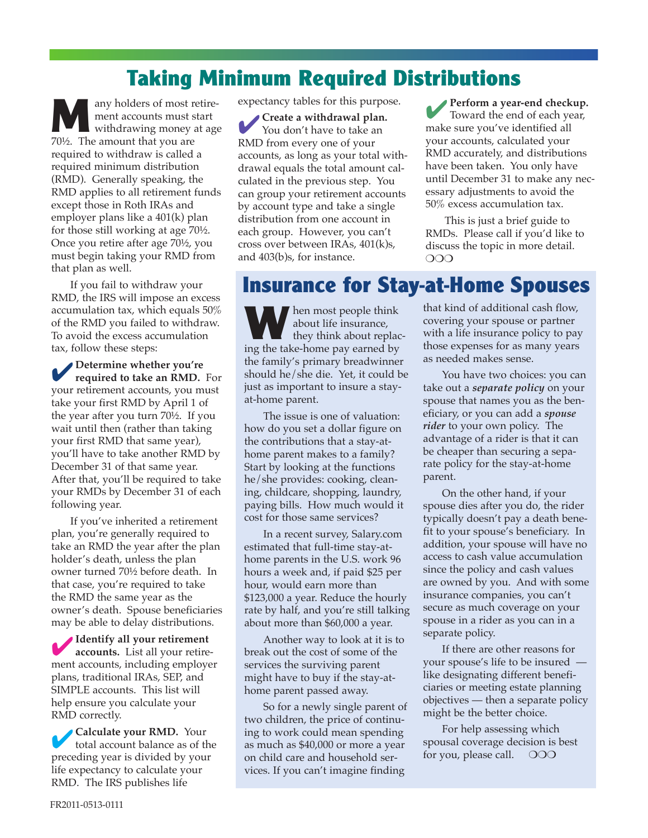## **Taking Minimum Required Distributions**

any holders of most retirement accounts must start withdrawing money at age 70½. The amount that you are required to withdraw is called a required minimum distribution (RMD). Generally speaking, the RMD applies to all retirement funds except those in Roth IRAs and employer plans like a 401(k) plan for those still working at age 70½. Once you retire after age 70½, you must begin taking your RMD from that plan as well.

If you fail to withdraw your RMD, the IRS will impose an excess accumulation tax, which equals 50% of the RMD you failed to withdraw. To avoid the excess accumulation tax, follow these steps:

4**Determine whether you're required to take an RMD.** For your retirement accounts, you must take your first RMD by April 1 of the year after you turn 70½. If you wait until then (rather than taking your first RMD that same year), you'll have to take another RMD by December 31 of that same year. After that, you'll be required to take your RMDs by December 31 of each following year.

If you've inherited a retirement plan, you're generally required to take an RMD the year after the plan holder's death, unless the plan owner turned 70½ before death. In that case, you're required to take the RMD the same year as the owner's death. Spouse beneficiaries may be able to delay distributions.

4**Identify all your retirement accounts.** List all your retirement accounts, including employer plans, traditional IRAs, SEP, and SIMPLE accounts. This list will help ensure you calculate your RMD correctly.

4**Calculate your RMD.** Your total account balance as of the preceding year is divided by your life expectancy to calculate your RMD. The IRS publishes life

expectancy tables for this purpose.

**Create a** withdrawal plan. You don't have to take an RMD from every one of your accounts, as long as your total withdrawal equals the total amount calculated in the previous step. You can group your retirement accounts by account type and take a single distribution from one account in each group. However, you can't cross over between IRAs, 401(k)s, and 403(b)s, for instance.

4**Perform <sup>a</sup> year-end checkup.** Toward the end of each year, make sure you've identified all your accounts, calculated your RMD accurately, and distributions have been taken. You only have until December 31 to make any necessary adjustments to avoid the 50% excess accumulation tax.

This is just a brief guide to RMDs. Please call if you'd like to discuss the topic in more detail. OOO

**Insurance for Stay-at-Home Spouses**

**W**hen most people think about life insurance, they think about replacing the take-home pay earned by the family's primary breadwinner should he/she die. Yet, it could be just as important to insure a stayat-home parent.

The issue is one of valuation: how do you set a dollar figure on the contributions that a stay-athome parent makes to a family? Start by looking at the functions he/she provides: cooking, cleaning, childcare, shopping, laundry, paying bills. How much would it cost for those same services?

In a recent survey, Salary.com estimated that full-time stay-athome parents in the U.S. work 96 hours a week and, if paid \$25 per hour, would earn more than \$123,000 a year. Reduce the hourly rate by half, and you're still talking about more than \$60,000 a year.

Another way to look at it is to break out the cost of some of the services the surviving parent might have to buy if the stay-athome parent passed away.

So for a newly single parent of two children, the price of continuing to work could mean spending as much as \$40,000 or more a year on child care and household services. If you can't imagine finding

that kind of additional cash flow, covering your spouse or partner with a life insurance policy to pay those expenses for as many years as needed makes sense.

You have two choices: you can take out a *separate policy* on your spouse that names you as the beneficiary, or you can add a *spouse rider* to your own policy. The advantage of a rider is that it can be cheaper than securing a separate policy for the stay-at-home parent.

On the other hand, if your spouse dies after you do, the rider typically doesn't pay a death benefit to your spouse's beneficiary. In addition, your spouse will have no access to cash value accumulation since the policy and cash values are owned by you. And with some insurance companies, you can't secure as much coverage on your spouse in a rider as you can in a separate policy.

If there are other reasons for your spouse's life to be insured like designating different beneficiaries or meeting estate planning objectives — then a separate policy might be the better choice.

For help assessing which spousal coverage decision is best for you, please call.  $\circ$  OOO